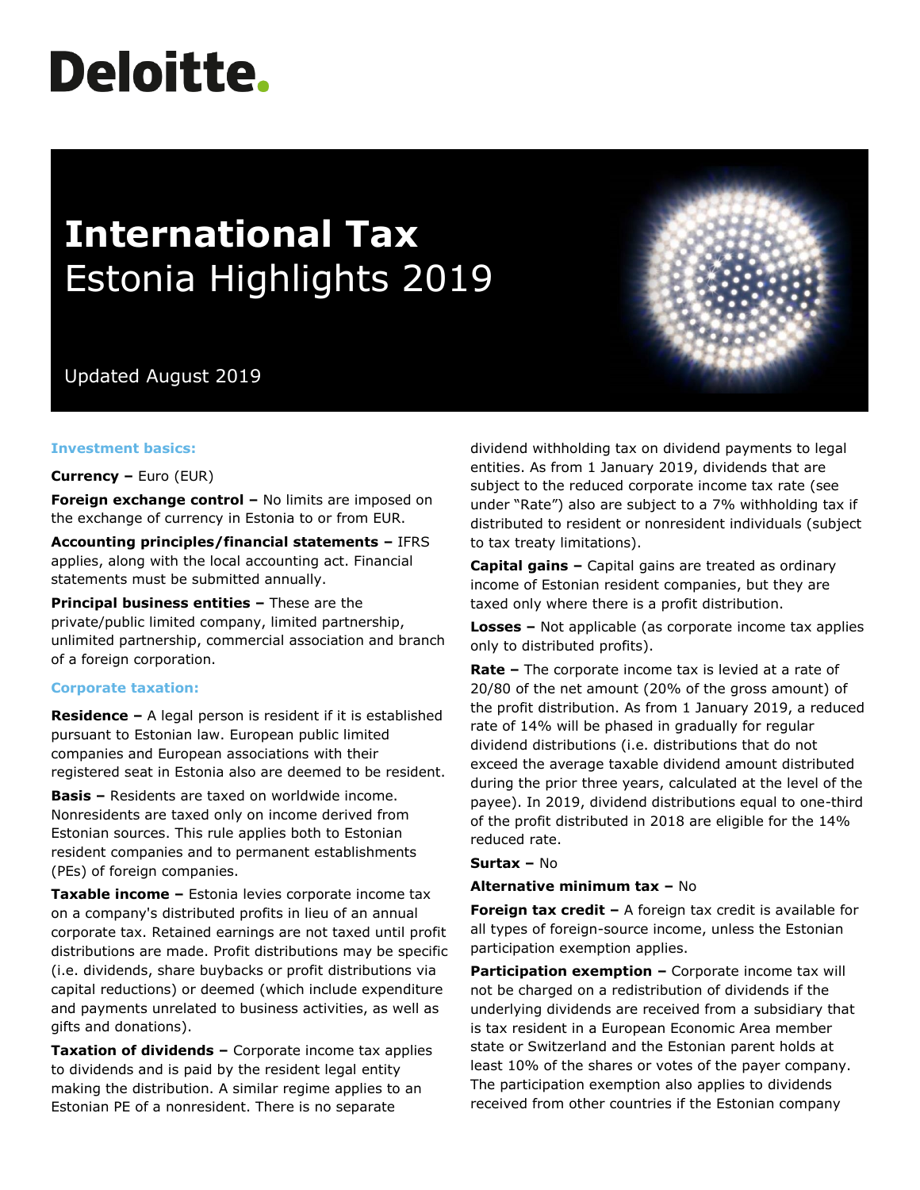# **Deloitte.**

# **International Tax** Estonia Highlights 2019

Updated August 2019

# **Investment basics:**

**Currency –** Euro (EUR)

**Foreign exchange control –** No limits are imposed on the exchange of currency in Estonia to or from EUR.

**Accounting principles/financial statements –** IFRS applies, along with the local accounting act. Financial statements must be submitted annually.

**Principal business entities –** These are the private/public limited company, limited partnership, unlimited partnership, commercial association and branch of a foreign corporation.

# **Corporate taxation:**

**Residence –** A legal person is resident if it is established pursuant to Estonian law. European public limited companies and European associations with their registered seat in Estonia also are deemed to be resident.

**Basis –** Residents are taxed on worldwide income. Nonresidents are taxed only on income derived from Estonian sources. This rule applies both to Estonian resident companies and to permanent establishments (PEs) of foreign companies.

**Taxable income –** Estonia levies corporate income tax on a company's distributed profits in lieu of an annual corporate tax. Retained earnings are not taxed until profit distributions are made. Profit distributions may be specific (i.e. dividends, share buybacks or profit distributions via capital reductions) or deemed (which include expenditure and payments unrelated to business activities, as well as gifts and donations).

**Taxation of dividends –** Corporate income tax applies to dividends and is paid by the resident legal entity making the distribution. A similar regime applies to an Estonian PE of a nonresident. There is no separate

dividend withholding tax on dividend payments to legal entities. As from 1 January 2019, dividends that are subject to the reduced corporate income tax rate (see under "Rate") also are subject to a 7% withholding tax if distributed to resident or nonresident individuals (subject to tax treaty limitations).

**Capital gains –** Capital gains are treated as ordinary income of Estonian resident companies, but they are taxed only where there is a profit distribution.

**Losses –** Not applicable (as corporate income tax applies only to distributed profits).

**Rate –** The corporate income tax is levied at a rate of 20/80 of the net amount (20% of the gross amount) of the profit distribution. As from 1 January 2019, a reduced rate of 14% will be phased in gradually for regular dividend distributions (i.e. distributions that do not exceed the average taxable dividend amount distributed during the prior three years, calculated at the level of the payee). In 2019, dividend distributions equal to one-third of the profit distributed in 2018 are eligible for the 14% reduced rate.

**Surtax –** No

#### **Alternative minimum tax –** No

**Foreign tax credit -** A foreign tax credit is available for all types of foreign-source income, unless the Estonian participation exemption applies.

**Participation exemption –** Corporate income tax will not be charged on a redistribution of dividends if the underlying dividends are received from a subsidiary that is tax resident in a European Economic Area member state or Switzerland and the Estonian parent holds at least 10% of the shares or votes of the payer company. The participation exemption also applies to dividends received from other countries if the Estonian company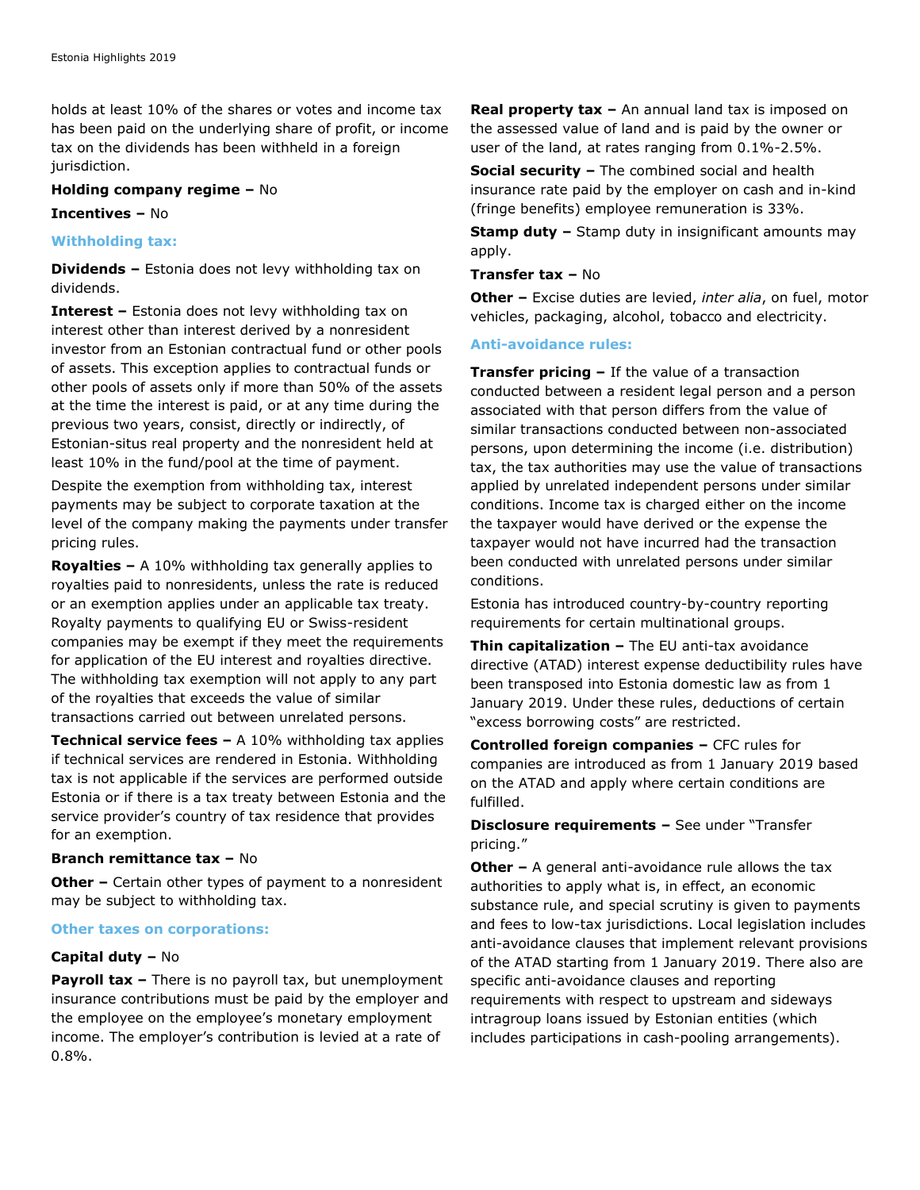holds at least 10% of the shares or votes and income tax has been paid on the underlying share of profit, or income tax on the dividends has been withheld in a foreign jurisdiction.

## **Holding company regime –** No

**Incentives –** No

# **Withholding tax:**

**Dividends –** Estonia does not levy withholding tax on dividends.

**Interest –** Estonia does not levy withholding tax on interest other than interest derived by a nonresident investor from an Estonian contractual fund or other pools of assets. This exception applies to contractual funds or other pools of assets only if more than 50% of the assets at the time the interest is paid, or at any time during the previous two years, consist, directly or indirectly, of Estonian-situs real property and the nonresident held at least 10% in the fund/pool at the time of payment.

Despite the exemption from withholding tax, interest payments may be subject to corporate taxation at the level of the company making the payments under transfer pricing rules.

**Royalties –** A 10% withholding tax generally applies to royalties paid to nonresidents, unless the rate is reduced or an exemption applies under an applicable tax treaty. Royalty payments to qualifying EU or Swiss-resident companies may be exempt if they meet the requirements for application of the EU interest and royalties directive. The withholding tax exemption will not apply to any part of the royalties that exceeds the value of similar transactions carried out between unrelated persons.

**Technical service fees –** A 10% withholding tax applies if technical services are rendered in Estonia. Withholding tax is not applicable if the services are performed outside Estonia or if there is a tax treaty between Estonia and the service provider's country of tax residence that provides for an exemption.

# **Branch remittance tax –** No

**Other –** Certain other types of payment to a nonresident may be subject to withholding tax.

#### **Other taxes on corporations:**

# **Capital duty –** No

**Payroll tax –** There is no payroll tax, but unemployment insurance contributions must be paid by the employer and the employee on the employee's monetary employment income. The employer's contribution is levied at a rate of 0.8%.

**Real property tax –** An annual land tax is imposed on the assessed value of land and is paid by the owner or user of the land, at rates ranging from 0.1%-2.5%.

**Social security –** The combined social and health insurance rate paid by the employer on cash and in-kind (fringe benefits) employee remuneration is 33%.

**Stamp duty –** Stamp duty in insignificant amounts may apply.

# **Transfer tax –** No

**Other –** Excise duties are levied, *inter alia*, on fuel, motor vehicles, packaging, alcohol, tobacco and electricity.

## **Anti-avoidance rules:**

**Transfer pricing –** If the value of a transaction conducted between a resident legal person and a person associated with that person differs from the value of similar transactions conducted between non-associated persons, upon determining the income (i.e. distribution) tax, the tax authorities may use the value of transactions applied by unrelated independent persons under similar conditions. Income tax is charged either on the income the taxpayer would have derived or the expense the taxpayer would not have incurred had the transaction been conducted with unrelated persons under similar conditions.

Estonia has introduced country-by-country reporting requirements for certain multinational groups.

**Thin capitalization –** The EU anti-tax avoidance directive (ATAD) interest expense deductibility rules have been transposed into Estonia domestic law as from 1 January 2019. Under these rules, deductions of certain "excess borrowing costs" are restricted.

**Controlled foreign companies –** CFC rules for companies are introduced as from 1 January 2019 based on the ATAD and apply where certain conditions are fulfilled.

# **Disclosure requirements –** See under "Transfer pricing."

**Other -** A general anti-avoidance rule allows the tax authorities to apply what is, in effect, an economic substance rule, and special scrutiny is given to payments and fees to low-tax jurisdictions. Local legislation includes anti-avoidance clauses that implement relevant provisions of the ATAD starting from 1 January 2019. There also are specific anti-avoidance clauses and reporting requirements with respect to upstream and sideways intragroup loans issued by Estonian entities (which includes participations in cash-pooling arrangements).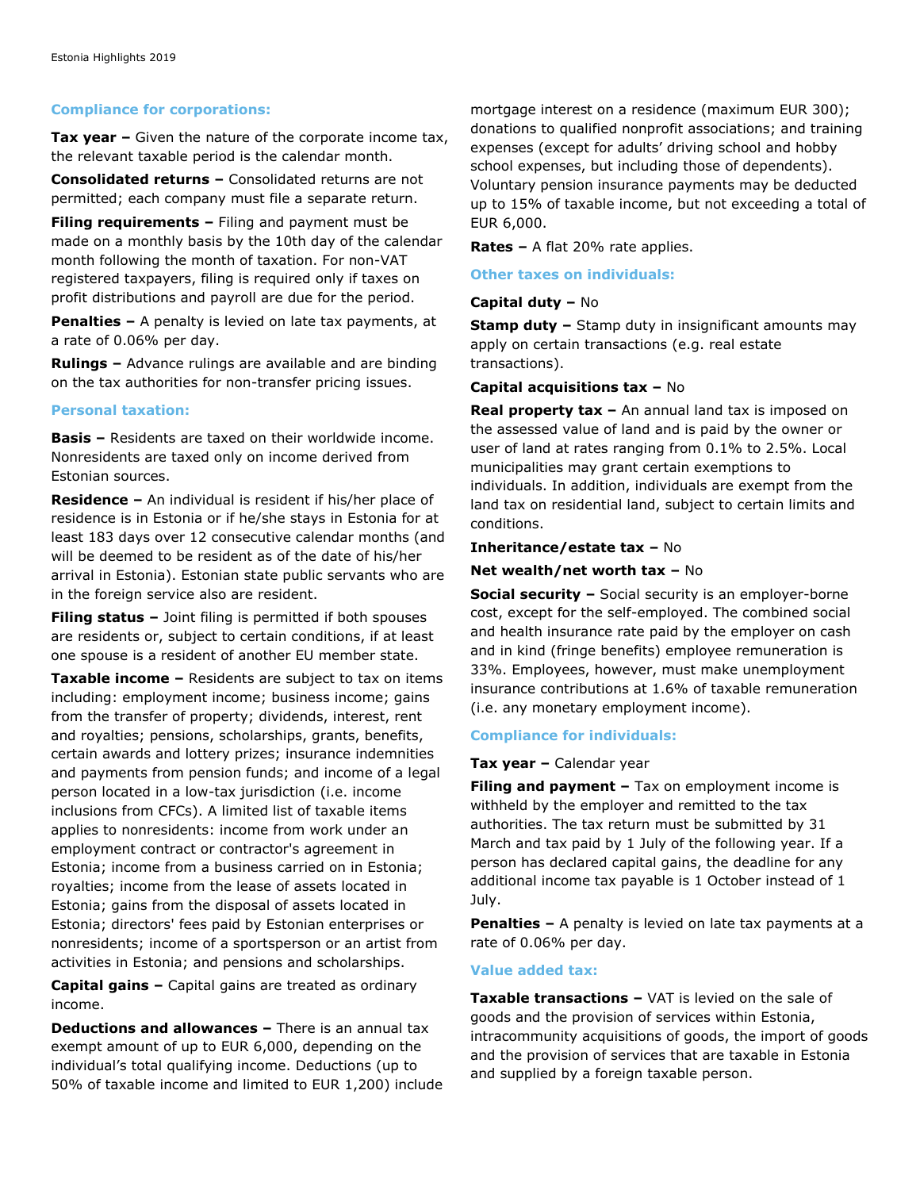# **Compliance for corporations:**

**Tax year –** Given the nature of the corporate income tax, the relevant taxable period is the calendar month.

**Consolidated returns –** Consolidated returns are not permitted; each company must file a separate return.

**Filing requirements –** Filing and payment must be made on a monthly basis by the 10th day of the calendar month following the month of taxation. For non-VAT registered taxpayers, filing is required only if taxes on profit distributions and payroll are due for the period.

**Penalties –** A penalty is levied on late tax payments, at a rate of 0.06% per day.

**Rulings –** Advance rulings are available and are binding on the tax authorities for non-transfer pricing issues.

# **Personal taxation:**

**Basis –** Residents are taxed on their worldwide income. Nonresidents are taxed only on income derived from Estonian sources.

**Residence –** An individual is resident if his/her place of residence is in Estonia or if he/she stays in Estonia for at least 183 days over 12 consecutive calendar months (and will be deemed to be resident as of the date of his/her arrival in Estonia). Estonian state public servants who are in the foreign service also are resident.

**Filing status –** Joint filing is permitted if both spouses are residents or, subject to certain conditions, if at least one spouse is a resident of another EU member state.

**Taxable income –** Residents are subject to tax on items including: employment income; business income; gains from the transfer of property; dividends, interest, rent and royalties; pensions, scholarships, grants, benefits, certain awards and lottery prizes; insurance indemnities and payments from pension funds; and income of a legal person located in a low-tax jurisdiction (i.e. income inclusions from CFCs). A limited list of taxable items applies to nonresidents: income from work under an employment contract or contractor's agreement in Estonia; income from a business carried on in Estonia; royalties; income from the lease of assets located in Estonia; gains from the disposal of assets located in Estonia; directors' fees paid by Estonian enterprises or nonresidents; income of a sportsperson or an artist from activities in Estonia; and pensions and scholarships.

**Capital gains –** Capital gains are treated as ordinary income.

**Deductions and allowances –** There is an annual tax exempt amount of up to EUR 6,000, depending on the individual's total qualifying income. Deductions (up to 50% of taxable income and limited to EUR 1,200) include mortgage interest on a residence (maximum EUR 300); donations to qualified nonprofit associations; and training expenses (except for adults' driving school and hobby school expenses, but including those of dependents). Voluntary pension insurance payments may be deducted up to 15% of taxable income, but not exceeding a total of EUR 6,000.

**Rates –** A flat 20% rate applies.

## **Other taxes on individuals:**

# **Capital duty –** No

**Stamp duty –** Stamp duty in insignificant amounts may apply on certain transactions (e.g. real estate transactions).

## **Capital acquisitions tax –** No

**Real property tax –** An annual land tax is imposed on the assessed value of land and is paid by the owner or user of land at rates ranging from 0.1% to 2.5%. Local municipalities may grant certain exemptions to individuals. In addition, individuals are exempt from the land tax on residential land, subject to certain limits and conditions.

#### **Inheritance/estate tax –** No

## **Net wealth/net worth tax –** No

**Social security –** Social security is an employer-borne cost, except for the self-employed. The combined social and health insurance rate paid by the employer on cash and in kind (fringe benefits) employee remuneration is 33%. Employees, however, must make unemployment insurance contributions at 1.6% of taxable remuneration (i.e. any monetary employment income).

# **Compliance for individuals:**

# **Tax year –** Calendar year

**Filing and payment –** Tax on employment income is withheld by the employer and remitted to the tax authorities. The tax return must be submitted by 31 March and tax paid by 1 July of the following year. If a person has declared capital gains, the deadline for any additional income tax payable is 1 October instead of 1 July.

**Penalties –** A penalty is levied on late tax payments at a rate of 0.06% per day.

# **Value added tax:**

**Taxable transactions –** VAT is levied on the sale of goods and the provision of services within Estonia, intracommunity acquisitions of goods, the import of goods and the provision of services that are taxable in Estonia and supplied by a foreign taxable person.